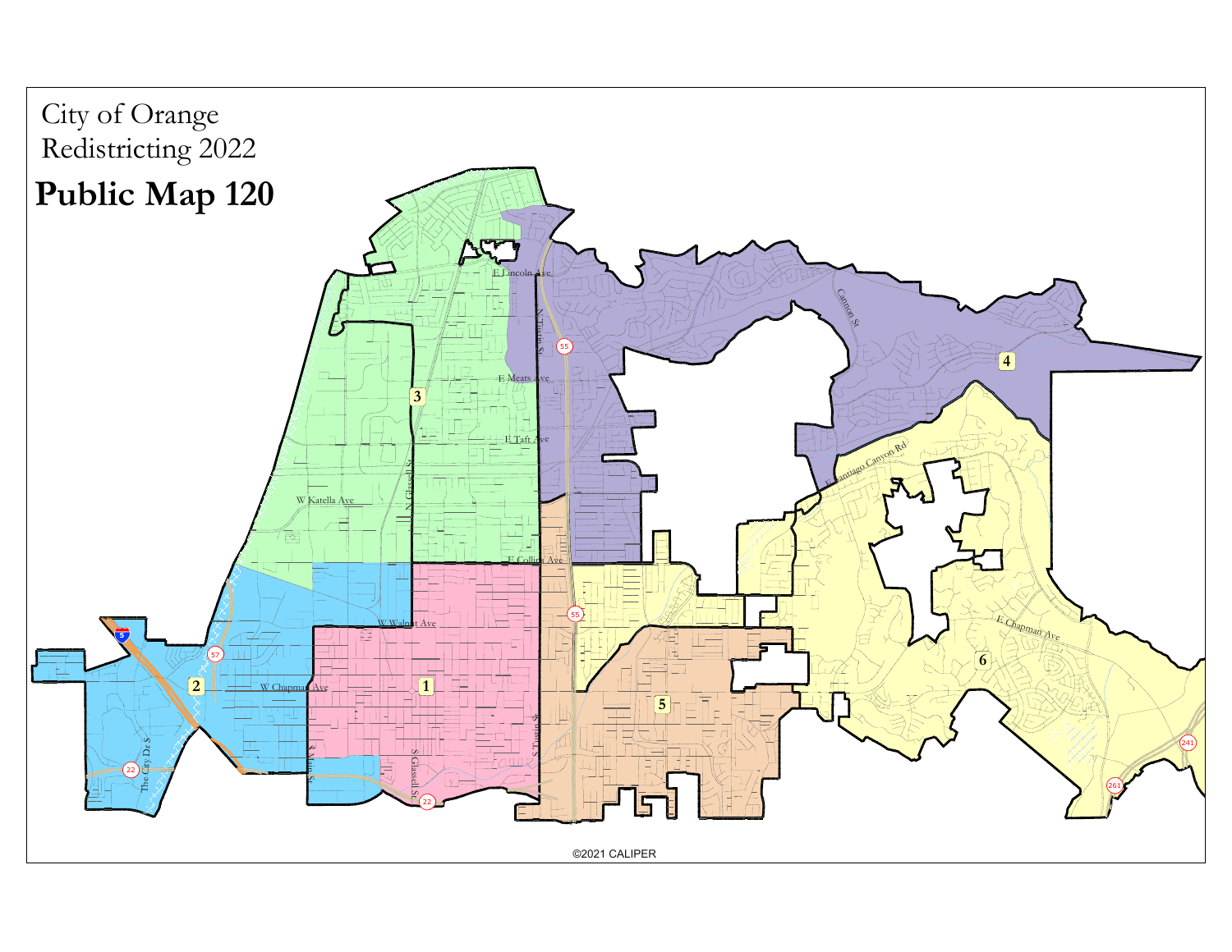